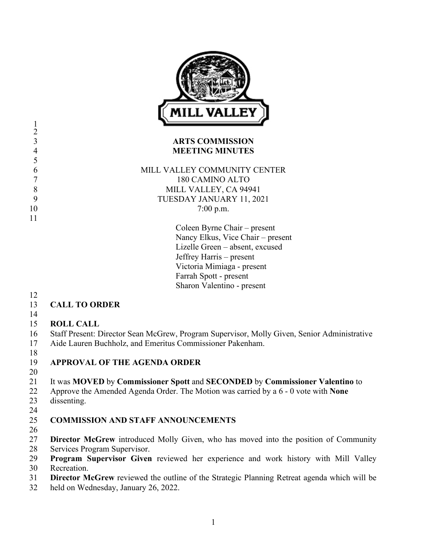

#### **ARTS COMMISSION MEETING MINUTES**

 MILL VALLEY COMMUNITY CENTER 180 CAMINO ALTO 8 MILL VALLEY, CA 94941 TUESDAY JANUARY 11, 2021 10 7:00 p.m.

> Coleen Byrne Chair – present Nancy Elkus, Vice Chair – present Lizelle Green – absent, excused Jeffrey Harris – present Victoria Mimiaga - present Farrah Spott - present Sharon Valentino - present

 

- **CALL TO ORDER**
- 

### **ROLL CALL**

- Staff Present: Director Sean McGrew, Program Supervisor, Molly Given, Senior Administrative
- Aide Lauren Buchholz, and Emeritus Commissioner Pakenham.
- 

## **APPROVAL OF THE AGENDA ORDER**

## It was **MOVED** by **Commissioner Spott** and **SECONDED** by **Commissioner Valentino** to

- Approve the Amended Agenda Order. The Motion was carried by a 6 0 vote with **None**
- dissenting.
- 

# **COMMISSION AND STAFF ANNOUNCEMENTS**

- 
- **Director McGrew** introduced Molly Given, who has moved into the position of Community Services Program Supervisor.
- **Program Supervisor Given** reviewed her experience and work history with Mill Valley Recreation.
- **Director McGrew** reviewed the outline of the Strategic Planning Retreat agenda which will be
- held on Wednesday, January 26, 2022.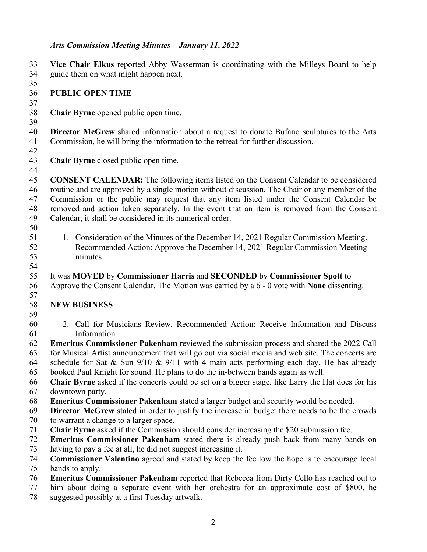### *Arts Commission Meeting Minutes – January 11, 2022*

 **Vice Chair Elkus** reported Abby Wasserman is coordinating with the Milleys Board to help guide them on what might happen next. **PUBLIC OPEN TIME Chair Byrne** opened public open time. **Director McGrew** shared information about a request to donate Bufano sculptures to the Arts Commission, he will bring the information to the retreat for further discussion. **Chair Byrne** closed public open time. **CONSENT CALENDAR:** The following items listed on the Consent Calendar to be considered routine and are approved by a single motion without discussion. The Chair or any member of the Commission or the public may request that any item listed under the Consent Calendar be removed and action taken separately. In the event that an item is removed from the Consent Calendar, it shall be considered in its numerical order. 51 1. Consideration of the Minutes of the December 14, 2021 Regular Commission Meeting. Recommended Action: Approve the December 14, 2021 Regular Commission Meeting minutes. It was **MOVED** by **Commissioner Harris** and **SECONDED** by **Commissioner Spott** to Approve the Consent Calendar. The Motion was carried by a 6 - 0 vote with **None** dissenting. **NEW BUSINESS** 2. Call for Musicians Review. Recommended Action: Receive Information and Discuss Information **Emeritus Commissioner Pakenham** reviewed the submission process and shared the 2022 Call for Musical Artist announcement that will go out via social media and web site. The concerts are 64 schedule for Sat & Sun  $9/10 \& 9/11$  with 4 main acts performing each day. He has already booked Paul Knight for sound. He plans to do the in-between bands again as well. **Chair Byrne** asked if the concerts could be set on a bigger stage, like Larry the Hat does for his downtown party. **Emeritus Commissioner Pakenham** stated a larger budget and security would be needed. **Director McGrew** stated in order to justify the increase in budget there needs to be the crowds to warrant a change to a larger space. **Chair Byrne** asked if the Commission should consider increasing the \$20 submission fee. **Emeritus Commissioner Pakenham** stated there is already push back from many bands on having to pay a fee at all, he did not suggest increasing it. **Commissioner Valentino** agreed and stated by keep the fee low the hope is to encourage local bands to apply. **Emeritus Commissioner Pakenham** reported that Rebecca from Dirty Cello has reached out to him about doing a separate event with her orchestra for an approximate cost of \$800, he suggested possibly at a first Tuesday artwalk.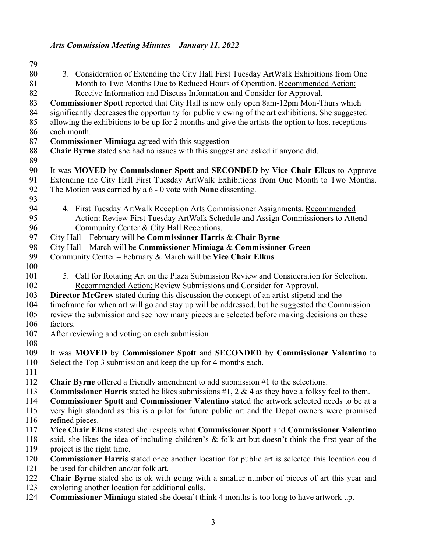### *Arts Commission Meeting Minutes – January 11, 2022*

 3. Consideration of Extending the City Hall First Tuesday ArtWalk Exhibitions from One Month to Two Months Due to Reduced Hours of Operation. Recommended Action: Receive Information and Discuss Information and Consider for Approval. **Commissioner Spott** reported that City Hall is now only open 8am-12pm Mon-Thurs which significantly decreases the opportunity for public viewing of the art exhibitions. She suggested allowing the exhibitions to be up for 2 months and give the artists the option to host receptions each month. **Commissioner Mimiaga** agreed with this suggestion **Chair Byrne** stated she had no issues with this suggest and asked if anyone did. It was **MOVED** by **Commissioner Spott** and **SECONDED** by **Vice Chair Elkus** to Approve Extending the City Hall First Tuesday ArtWalk Exhibitions from One Month to Two Months. The Motion was carried by a 6 - 0 vote with **None** dissenting. 4. First Tuesday ArtWalk Reception Arts Commissioner Assignments. Recommended Action: Review First Tuesday ArtWalk Schedule and Assign Commissioners to Attend Community Center & City Hall Receptions. City Hall – February will be **Commissioner Harris** & **Chair Byrne** City Hall – March will be **Commissioner Mimiaga** & **Commissioner Green** Community Center – February & March will be **Vice Chair Elkus** 101 5. Call for Rotating Art on the Plaza Submission Review and Consideration for Selection. Recommended Action: Review Submissions and Consider for Approval. **Director McGrew** stated during this discussion the concept of an artist stipend and the timeframe for when art will go and stay up will be addressed, but he suggested the Commission review the submission and see how many pieces are selected before making decisions on these factors. After reviewing and voting on each submission It was **MOVED** by **Commissioner Spott** and **SECONDED** by **Commissioner Valentino** to Select the Top 3 submission and keep the up for 4 months each. **Chair Byrne** offered a friendly amendment to add submission #1 to the selections. **Commissioner Harris** stated he likes submissions #1, 2 & 4 as they have a folksy feel to them. **Commissioner Spott** and **Commissioner Valentino** stated the artwork selected needs to be at a very high standard as this is a pilot for future public art and the Depot owners were promised refined pieces. **Vice Chair Elkus** stated she respects what **Commissioner Spott** and **Commissioner Valentino** said, she likes the idea of including children's & folk art but doesn't think the first year of the project is the right time. **Commissioner Harris** stated once another location for public art is selected this location could be used for children and/or folk art. **Chair Byrne** stated she is ok with going with a smaller number of pieces of art this year and exploring another location for additional calls. **Commissioner Mimiaga** stated she doesn't think 4 months is too long to have artwork up.